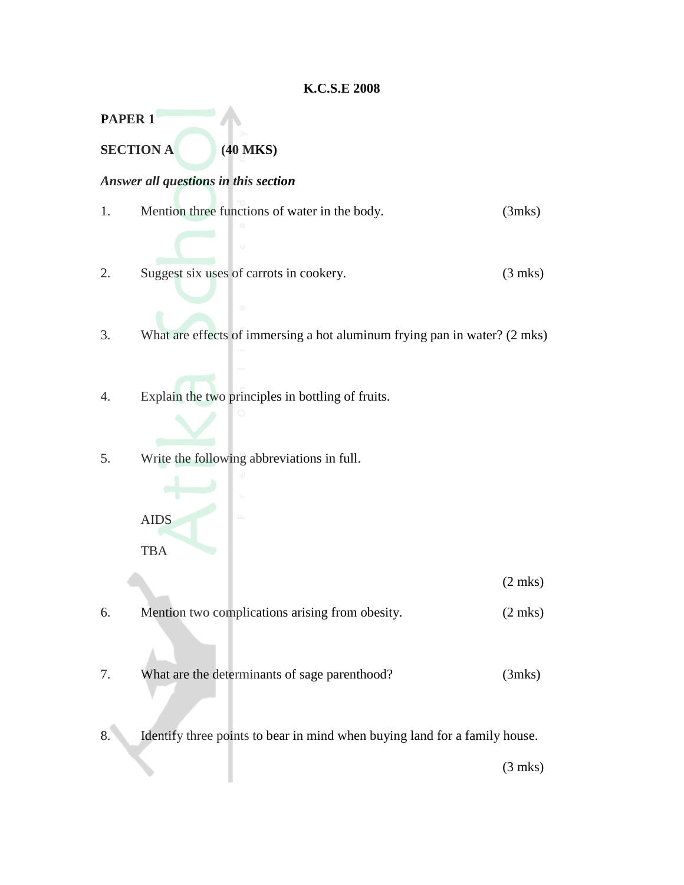#### **K.C.S.E 2008**

**PAPER 1**

**SECTION A (40 MKS)**

# *Answer all questions in this section*

- 1. Mention three functions of water in the body. (3mks)
- 2. Suggest six uses of carrots in cookery. (3 mks)
- 3. What are effects of immersing a hot aluminum frying pan in water? (2 mks)
- 4. Explain the two principles in bottling of fruits.
- 5. Write the following abbreviations in full.



(2 mks)

- 6. Mention two complications arising from obesity. (2 mks)
- 7. What are the determinants of sage parenthood? (3mks)
- 8. Identify three points to bear in mind when buying land for a family house.

(3 mks)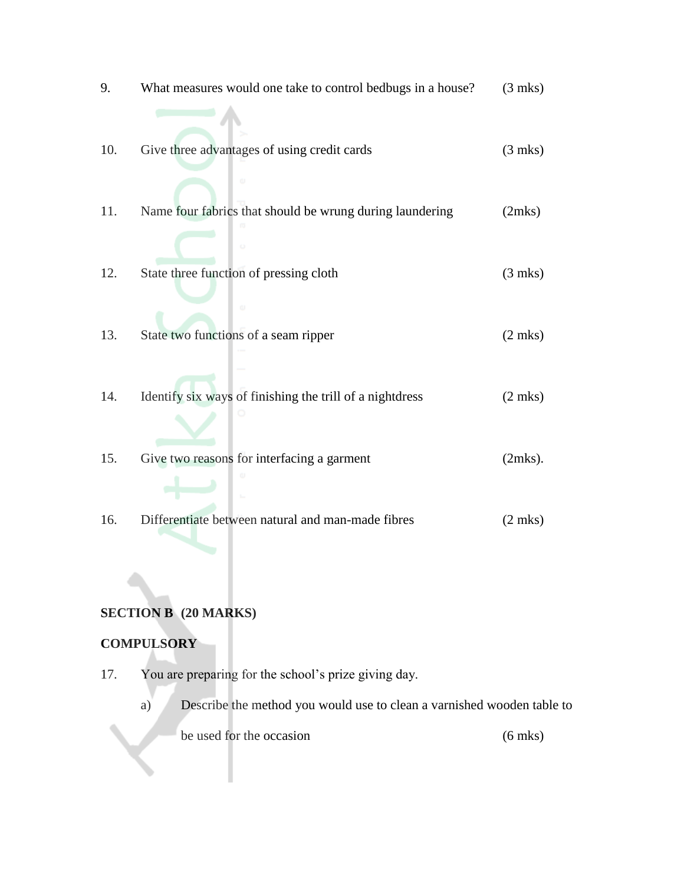9. What measures would one take to control bedbugs in a house? (3 mks) 10. Give three advantages of using credit cards (3 mks) 11. Name four fabrics that should be wrung during laundering (2mks) 12. State three function of pressing cloth (3 mks) 13. State two functions of a seam ripper (2 mks) 14. Identify six ways of finishing the trill of a nightdress (2 mks) 15. Give two reasons for interfacing a garment (2mks). 16. Differentiate between natural and man-made fibres (2 mks)

## **SECTION B (20 MARKS)**

#### **COMPULSORY**

- 17. You are preparing for the school's prize giving day.
	- a) Describe the method you would use to clean a varnished wooden table to be used for the occasion (6 mks)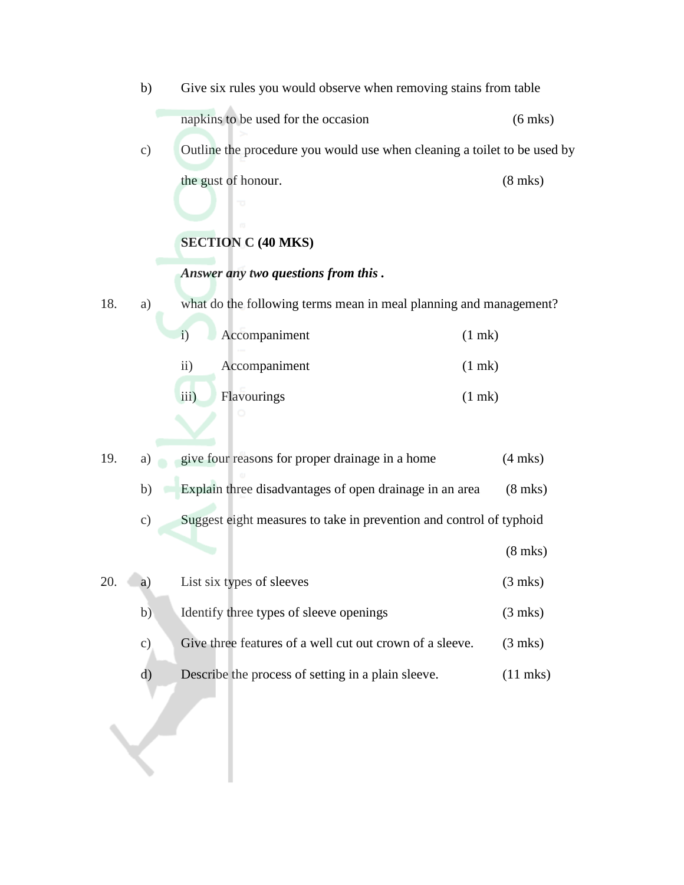b) Give six rules you would observe when removing stains from table napkins to be used for the occasion (6 mks) c) Outline the procedure you would use when cleaning a toilet to be used by the gust of honour. (8 mks) **SECTION C (40 MKS)** *Answer any two questions from this .* 18. a) what do the following terms mean in meal planning and management? i) Accompaniment (1 mk) ii) Accompaniment (1 mk) iii) Flavourings (1 mk) 19. a) give four reasons for proper drainage in a home (4 mks) b) Explain three disadvantages of open drainage in an area (8 mks) c) Suggest eight measures to take in prevention and control of typhoid (8 mks) 20. a) List six types of sleeves (3 mks) b) Identify three types of sleeve openings (3 mks) c) Give three features of a well cut out crown of a sleeve. (3 mks) d) Describe the process of setting in a plain sleeve. (11 mks)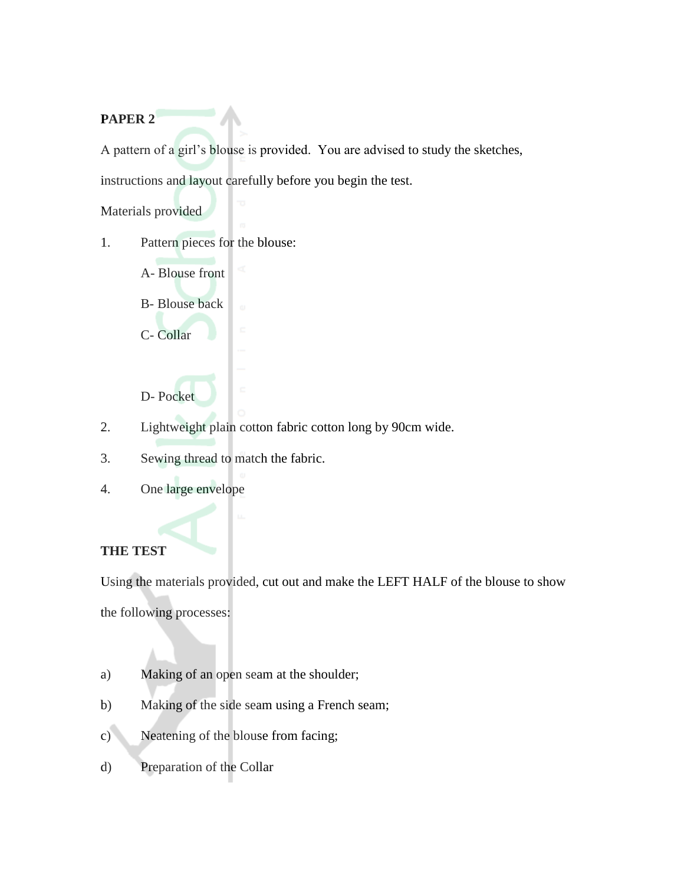## **PAPER 2**

A pattern of a girl's blouse is provided. You are advised to study the sketches,

instructions and layout carefully before you begin the test.

Materials provided

- 1. Pattern pieces for the blouse:
	- A- Blouse front
	- B- Blouse back
	- C- Collar
	- D- Pocket
- 2. Lightweight plain cotton fabric cotton long by 90cm wide.
- 3. Sewing thread to match the fabric.
- 4. One large envelope

#### **THE TEST**

Using the materials provided, cut out and make the LEFT HALF of the blouse to show the following processes:

- a) Making of an open seam at the shoulder;
- b) Making of the side seam using a French seam;
- c) Neatening of the blouse from facing;
- d) Preparation of the Collar